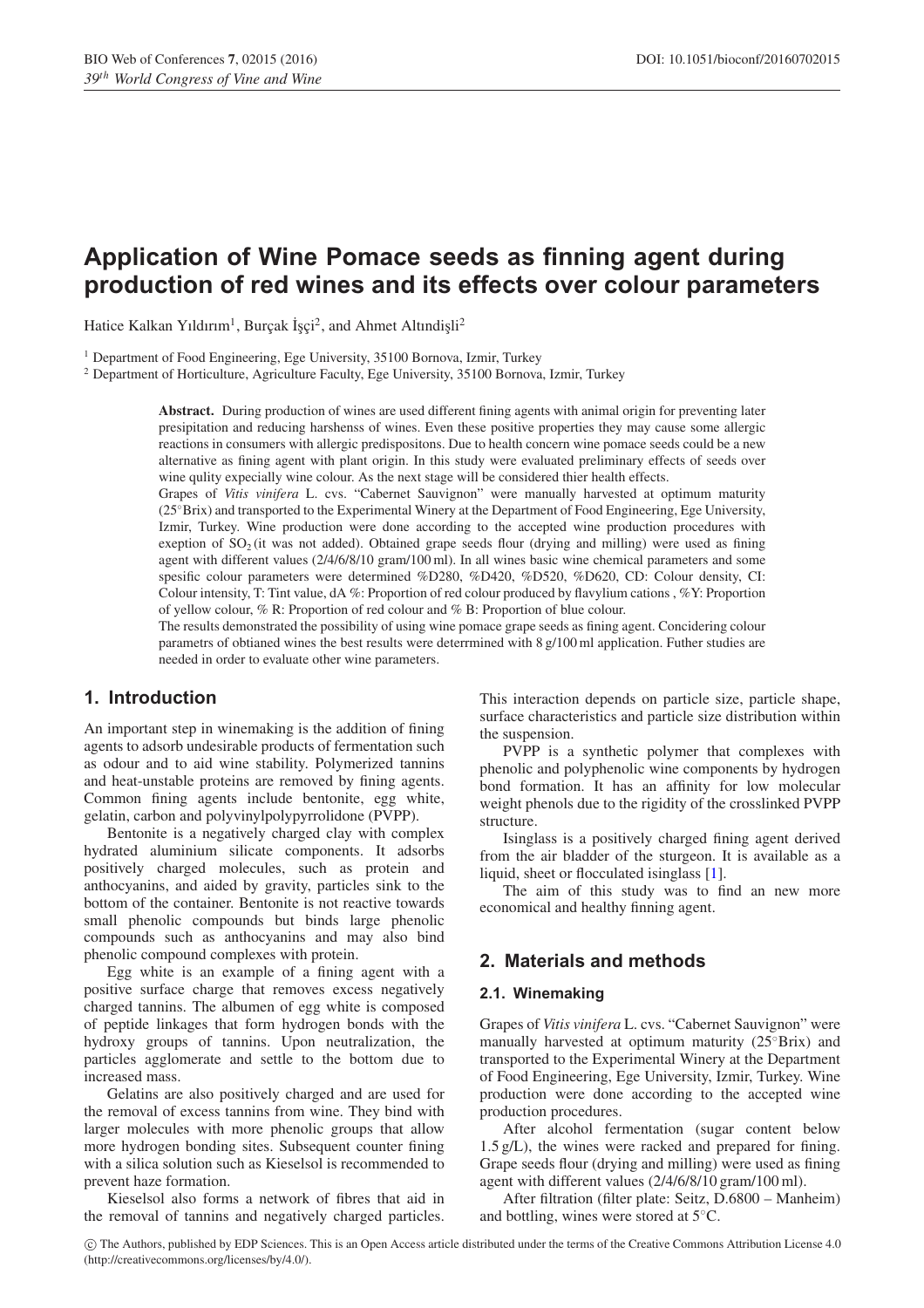# **Application of Wine Pomace seeds as finning agent during production of red wines and its effects over colour parameters**

Hatice Kalkan Yıldırım<sup>1</sup>, Burçak İşçi<sup>2</sup>, and Ahmet Altındişli<sup>2</sup>

<sup>1</sup> Department of Food Engineering, Ege University, 35100 Bornova, Izmir, Turkey

<sup>2</sup> Department of Horticulture, Agriculture Faculty, Ege University, 35100 Bornova, Izmir, Turkey

**Abstract.** During production of wines are used different fining agents with animal origin for preventing later presipitation and reducing harshenss of wines. Even these positive properties they may cause some allergic reactions in consumers with allergic predispositons. Due to health concern wine pomace seeds could be a new alternative as fining agent with plant origin. In this study were evaluated preliminary effects of seeds over wine qulity expecially wine colour. As the next stage will be considered thier health effects.

Grapes of *Vitis vinifera* L. cvs. "Cabernet Sauvignon" were manually harvested at optimum maturity (25◦Brix) and transported to the Experimental Winery at the Department of Food Engineering, Ege University, Izmir, Turkey. Wine production were done according to the accepted wine production procedures with exeption of  $SO<sub>2</sub>$  (it was not added). Obtained grape seeds flour (drying and milling) were used as fining agent with different values (2/4/6/8/10 gram/100 ml). In all wines basic wine chemical parameters and some spesific colour parameters were determined %D280, %D420, %D520, %D620, CD: Colour density, CI: Colour intensity, T: Tint value, dA %: Proportion of red colour produced by flavylium cations , %Y: Proportion of yellow colour, % R: Proportion of red colour and % B: Proportion of blue colour.

The results demonstrated the possibility of using wine pomace grape seeds as fining agent. Concidering colour parametrs of obtianed wines the best results were deterrmined with 8 g/100 ml application. Futher studies are needed in order to evaluate other wine parameters.

## **1. Introduction**

An important step in winemaking is the addition of fining agents to adsorb undesirable products of fermentation such as odour and to aid wine stability. Polymerized tannins and heat-unstable proteins are removed by fining agents. Common fining agents include bentonite, egg white, gelatin, carbon and polyvinylpolypyrrolidone (PVPP).

Bentonite is a negatively charged clay with complex hydrated aluminium silicate components. It adsorbs positively charged molecules, such as protein and anthocyanins, and aided by gravity, particles sink to the bottom of the container. Bentonite is not reactive towards small phenolic compounds but binds large phenolic compounds such as anthocyanins and may also bind phenolic compound complexes with protein.

Egg white is an example of a fining agent with a positive surface charge that removes excess negatively charged tannins. The albumen of egg white is composed of peptide linkages that form hydrogen bonds with the hydroxy groups of tannins. Upon neutralization, the particles agglomerate and settle to the bottom due to increased mass.

Gelatins are also positively charged and are used for the removal of excess tannins from wine. They bind with larger molecules with more phenolic groups that allow more hydrogen bonding sites. Subsequent counter fining with a silica solution such as Kieselsol is recommended to prevent haze formation.

Kieselsol also forms a network of fibres that aid in the removal of tannins and negatively charged particles. This interaction depends on particle size, particle shape, surface characteristics and particle size distribution within the suspension.

PVPP is a synthetic polymer that complexes with phenolic and polyphenolic wine components by hydrogen bond formation. It has an affinity for low molecular weight phenols due to the rigidity of the crosslinked PVPP structure.

Isinglass is a positively charged fining agent derived from the air bladder of the sturgeon. It is available as a liquid, sheet or flocculated isinglass [\[1](#page-2-0)].

The aim of this study was to find an new more economical and healthy finning agent.

# **2. Materials and methods**

### **2.1. Winemaking**

Grapes of *Vitis vinifera* L. cvs. "Cabernet Sauvignon" were manually harvested at optimum maturity (25°Brix) and transported to the Experimental Winery at the Department of Food Engineering, Ege University, Izmir, Turkey. Wine production were done according to the accepted wine production procedures.

After alcohol fermentation (sugar content below 1.5 g/L), the wines were racked and prepared for fining. Grape seeds flour (drying and milling) were used as fining agent with different values (2/4/6/8/10 gram/100 ml).

After filtration (filter plate: Seitz, D.6800 – Manheim) and bottling, wines were stored at 5◦C.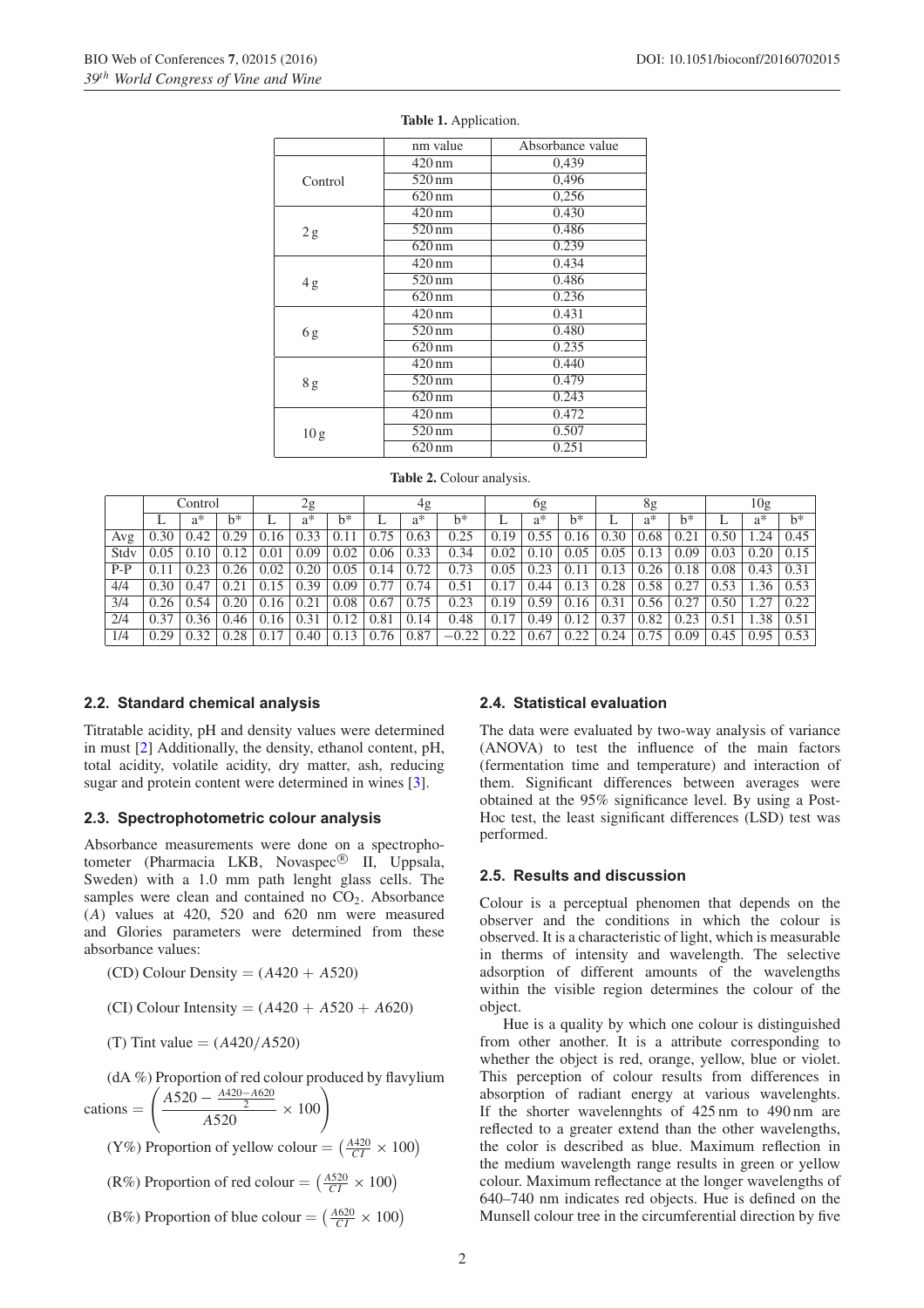|                 | nm value         | Absorbance value |  |  |  |  |  |  |
|-----------------|------------------|------------------|--|--|--|--|--|--|
|                 | $420 \text{ nm}$ | 0,439            |  |  |  |  |  |  |
| Control         | $520 \text{ nm}$ | 0,496            |  |  |  |  |  |  |
|                 | $620 \text{ nm}$ | 0,256            |  |  |  |  |  |  |
|                 | $420 \text{ nm}$ | 0.430            |  |  |  |  |  |  |
| 2g              | $520 \text{ nm}$ | 0.486            |  |  |  |  |  |  |
|                 | $620 \text{ nm}$ | 0.239            |  |  |  |  |  |  |
|                 | $420 \text{ nm}$ | 0.434            |  |  |  |  |  |  |
| 4g              | $520 \text{ nm}$ | 0.486            |  |  |  |  |  |  |
|                 | $620 \text{ nm}$ | 0.236            |  |  |  |  |  |  |
|                 | $420 \text{ nm}$ | 0.431            |  |  |  |  |  |  |
| 6g              | 520 nm           | 0.480            |  |  |  |  |  |  |
|                 | $620 \text{ nm}$ | 0.235            |  |  |  |  |  |  |
|                 | $420 \text{ nm}$ | 0.440            |  |  |  |  |  |  |
| 8g              | $520 \text{ nm}$ | 0.479            |  |  |  |  |  |  |
|                 | $620 \text{ nm}$ | 0.243            |  |  |  |  |  |  |
|                 | $420 \text{ nm}$ | 0.472            |  |  |  |  |  |  |
| 10 <sub>g</sub> | $520 \text{ nm}$ | 0.507            |  |  |  |  |  |  |
|                 | $620 \text{ nm}$ | 0.251            |  |  |  |  |  |  |

#### <span id="page-1-0"></span>**Table 1.** Application.

<span id="page-1-1"></span>

|  |  |  | <b>Table 2.</b> Colour analysis. |
|--|--|--|----------------------------------|
|--|--|--|----------------------------------|

|       | Control |       | 2g   |      | 4g   |       | <sub>0g</sub> |       | 8g      |      |       | 10g   |      |       |       |      |       |       |
|-------|---------|-------|------|------|------|-------|---------------|-------|---------|------|-------|-------|------|-------|-------|------|-------|-------|
|       |         | $a^*$ | h*   |      | a*   | $h^*$ |               | $a^*$ | $h^*$   |      | $a^*$ | $h^*$ |      | $a^*$ | $h^*$ |      | $a^*$ | $b^*$ |
| Avg   | 0.30    | 0.42  | 0.29 | 0.16 | 0.33 |       | 0.75          | 0.63  | 0.25    | 0.19 | 0.55  | 0.16  | 0.30 | 0.68  | 0.21  | 0.50 | .24   | 0.45  |
| Stdy  | 0.05    | 0.10  | 0.12 | 0.01 | 0.09 | 0.02  | 0.06          | 0.33  | 0.34    | 0.02 | 0.10  | 0.05  | 0.05 | 0.13  | 0.09  | 0.03 | 0.20  | 0.15  |
| $P-P$ | 0.11    | 0.23  | 0.26 | 0.02 | 0.20 | 0.05  | 0.14          | 0.72  | 0.73    | 0.05 | 0.23  | 0.11  | 0.13 | 0.26  | 0.18  | 0.08 | 0.43  | 0.31  |
| 4/4   | 0.30    | 0.47  | 0.21 | 0.15 | 0.39 | 0.09  | 0.77          | 0.74  | 0.51    | 0.17 | 0.44  | 0.13  | 0.28 | 0.58  | 0.27  | 0.53 | .36   | 0.53  |
| 3/4   | 0.26    | 0.54  | 0.20 | 0.16 | 0.21 | 0.08  | 0.67          | 0.75  | 0.23    | 0.19 | 0.59  | 0.16  | 0.31 | 0.56  | 0.27  | 0.50 | .27   | 0.22  |
| 2/4   | 0.37    | 0.36  | 0.46 | 0.16 | 0.31 | 0.12  | 0.81          | 0.14  | 0.48    | 0.17 | 0.49  | 0.12  | 0.37 | 0.82  | 0.23  | 0.51 | .38   | 0.51  |
| 1/4   | 0.29    | 0.32  | 0.28 | 0.17 | 0.40 | 0.13  | 0.76          | 0.87  | $-0.22$ | 0.22 | 0.67  | 0.22  | 0.24 | 0.75  | 0.09  | 0.45 | 0.95  | 0.53  |

#### **2.2. Standard chemical analysis**

Titratable acidity, pH and density values were determined in must [\[2](#page-2-1)] Additionally, the density, ethanol content, pH, total acidity, volatile acidity, dry matter, ash, reducing sugar and protein content were determined in wines [\[3\]](#page-2-2).

#### **2.3. Spectrophotometric colour analysis**

Absorbance measurements were done on a spectrophotometer (Pharmacia LKB, Novaspec<sup>®</sup> II, Uppsala, Sweden) with a 1.0 mm path lenght glass cells. The samples were clean and contained no  $CO<sub>2</sub>$ . Absorbance (*A*) values at 420, 520 and 620 nm were measured and Glories parameters were determined from these absorbance values:

(CD) Colour Density = (*A*420 + *A*520)

(CI) Colour Intensity =  $(A420 + A520 + A620)$ 

(T) Tint value = (*A*420*/A*520)

(dA %) Proportion of red colour produced by flavylium

cations = 
$$
\left(\frac{A520 - \frac{A420 - A620}{2}}{A520} \times 100\right)
$$

(Y%) Proportion of yellow colour =  $\left(\frac{A420}{CI} \times 100\right)$ 

 $(R\%)$  Proportion of red colour =  $\left(\frac{A520}{CI} \times 100\right)$ 

(B%) Proportion of blue colour =  $\left(\frac{A620}{CI} \times 100\right)$ 

#### **2.4. Statistical evaluation**

The data were evaluated by two-way analysis of variance (ANOVA) to test the influence of the main factors (fermentation time and temperature) and interaction of them. Significant differences between averages were obtained at the 95% significance level. By using a Post-Hoc test, the least significant differences (LSD) test was performed.

### **2.5. Results and discussion**

Colour is a perceptual phenomen that depends on the observer and the conditions in which the colour is observed. It is a characteristic of light, which is measurable in therms of intensity and wavelength. The selective adsorption of different amounts of the wavelengths within the visible region determines the colour of the object.

Hue is a quality by which one colour is distinguished from other another. It is a attribute corresponding to whether the object is red, orange, yellow, blue or violet. This perception of colour results from differences in absorption of radiant energy at various wavelenghts. If the shorter wavelennghts of 425 nm to 490 nm are reflected to a greater extend than the other wavelengths, the color is described as blue. Maximum reflection in the medium wavelength range results in green or yellow colour. Maximum reflectance at the longer wavelengths of 640–740 nm indicates red objects. Hue is defined on the Munsell colour tree in the circumferential direction by five